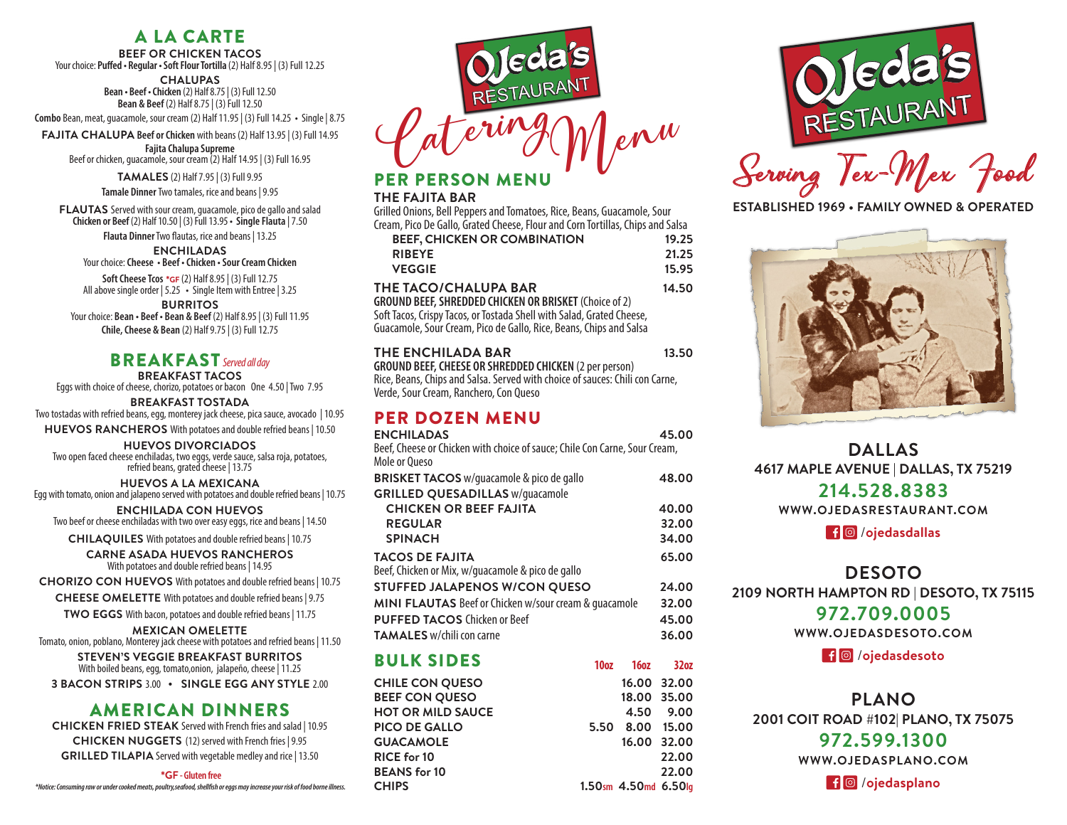# A LA CARTE

**BEEF OR CHICKEN TACOS** Your choice: **Puffed • Regular • Soft Flour Tortilla** (2) Half 8.95 | (3) Full 12.25

**CHALUPAS Bean • Beef • Chicken** (2) Half 8.75 | (3) Full 12.50

**Bean & Beef** (2) Half 8.75 | (3) Full 12.50 **Combo** Bean, meat, guacamole, sour cream (2) Half 11.95 | (3) Full 14.25 **•** Single | 8.75

**FAJITA CHALUPA Beef or Chicken** with beans (2) Half 13.95 | (3) Full 14.95 **Fajita Chalupa Supreme** Beef or chicken, guacamole, sour cream (2) Half 14.95 | (3) Full 16.95

**TAMALES** (2) Half 7.95 | (3) Full 9.95

**Tamale Dinner** Two tamales, rice and beans | 9.95

**FLAUTAS** Served with sour cream, guacamole, pico de gallo and salad **Chicken or Beef** (2) Half 10.50 | (3) Full 13.95 **• Single Flauta** | 7.50

**Flauta Dinner**Two flautas, rice and beans | 13.25

**ENCHILADAS** Your choice: **Cheese • Beef • Chicken • Sour Cream Chicken**

**Soft Cheese Tcos** \***GF** (2) Half 8.95 | (3) Full 12.75 All above single order | 5.25 **•** Single Item with Entree | 3.25

**BURRITOS** Your choice: **Bean • Beef • Bean & Beef** (2) Half 8.95 | (3) Full 11.95 **Chile, Cheese & Bean** (2) Half 9.75 | (3) Full 12.75

## BREAKFAST *Served all day*

**BREAKFAST TACOS**  Eggs with choice of cheese, chorizo, potatoes or bacon One 4.50 | Two 7.95

**BREAKFAST TOSTADA** Two tostadas with refried beans, egg, monterey jack cheese, pica sauce, avocado | 10.95

**HUEVOS RANCHEROS** With potatoes and double refried beans | 10.50

**HUEVOS DIVORCIADOS**  Two open faced cheese enchiladas, two eggs, verde sauce, salsa roja, potatoes, refried beans, grated cheese | 13.75

**HUEVOS A LA MEXICANA** Egg with tomato, onion and jalapeno served with potatoes and double refried beans | 10.75

**ENCHILADA CON HUEVOS** Two beef or cheese enchiladas with two over easy eggs, rice and beans | 14.50

**CHILAQUILES** With potatoes and double refried beans | 10.75

**CARNE ASADA HUEVOS RANCHEROS**  With potatoes and double refried beans | 14.95

**CHORIZO CON HUEVOS** With potatoes and double refried beans | 10.75

**CHEESE OMELETTE** With potatoes and double refried beans | 9.75

**TWO EGGS** With bacon, potatoes and double refried beans | 11.75

**MEXICAN OMELETTE** Tomato, onion, poblano, Monterey jack cheese with potatoes and refried beans | 11.50

**STEVEN'S VEGGIE BREAKFAST BURRITOS** With boiled beans, egg, tomato,onion, jalapeño, cheese | 11.25

**3 BACON STRIPS** 3.00 **• SINGLE EGG ANY STYLE** 2.00

### AMERICAN DINNERS

**CHICKEN FRIED STEAK** Served with French fries and salad | 10.95 **CHICKEN NUGGETS** (12) served with French fries | 9.95 **GRILLED TILAPIA** Served with vegetable medley and rice | 13.50

\***GF - Gluten free**

*\*Notice: Consuming raw or under cooked meats, poultry,seafood, shellfish or eggs may increase your risk of food borne illness.*



# PERSON MENU

#### **THE FAJITA BAR**

Grilled Onions, Bell Peppers and Tomatoes, Rice, Beans, Guacamole, Sour Cream, Pico De Gallo, Grated Cheese, Flour and Corn Tortillas, Chips and Salsa

| <b>BEEF, CHICKEN OR COMBINATION</b>                                   | 19.25 |
|-----------------------------------------------------------------------|-------|
| <b>RIBEYE</b>                                                         | 21.25 |
| <b>VEGGIE</b>                                                         | 15.95 |
| THE TACO/CHALUPA BAR                                                  | 14.50 |
| <b>GROUND BEEF, SHREDDED CHICKEN OR BRISKET (Choice of 2)</b>         |       |
| Soft Tacos, Crispy Tacos, or Tostada Shell with Salad, Grated Cheese, |       |
| Guacamole, Sour Cream, Pico de Gallo, Rice, Beans, Chips and Salsa    |       |
|                                                                       |       |

| THE ENCHILADA BAR                                                            | 13.50 |
|------------------------------------------------------------------------------|-------|
| <b>GROUND BEEF, CHEESE OR SHREDDED CHICKEN (2 per person)</b>                |       |
| Rice, Beans, Chips and Salsa. Served with choice of sauces: Chili con Carne, |       |
| Verde, Sour Cream, Ranchero, Con Queso                                       |       |

# PER DOZEN MENU

| <b>ENCHILADAS</b><br>Beef, Cheese or Chicken with choice of sauce; Chile Con Carne, Sour Cream, |                  |                      | 45.00            |
|-------------------------------------------------------------------------------------------------|------------------|----------------------|------------------|
| Mole or Oueso                                                                                   |                  |                      |                  |
| <b>BRISKET TACOS</b> w/guacamole & pico de gallo                                                |                  |                      | 48.00            |
| <b>GRILLED QUESADILLAS w/quacamole</b>                                                          |                  |                      |                  |
| <b>CHICKEN OR BEEF FAJITA</b>                                                                   |                  |                      | 40.00            |
| <b>REGULAR</b>                                                                                  |                  |                      | 32.00            |
| <b>SPINACH</b>                                                                                  |                  |                      | 34.00            |
| <b>TACOS DE FAJITA</b>                                                                          |                  |                      | 65.00            |
| Beef, Chicken or Mix, w/guacamole & pico de gallo                                               |                  |                      |                  |
| STUFFED JALAPENOS W/CON QUESO                                                                   |                  |                      | 24.00            |
| <b>MINI FLAUTAS</b> Beef or Chicken w/sour cream & quacamole                                    |                  |                      | 32.00            |
| <b>PUFFED TACOS Chicken or Beef</b>                                                             |                  |                      | 45.00            |
| <b>TAMALES</b> w/chili con carne                                                                |                  |                      | 36.00            |
| <b>BULK SIDES</b>                                                                               | 10 <sub>oz</sub> | 16 <sub>0</sub> z    | 32 <sub>0z</sub> |
| <b>CHILE CON QUESO</b>                                                                          |                  | 16.00 32.00          |                  |
| <b>BEEF CON QUESO</b>                                                                           |                  | 18.00 35.00          |                  |
| <b>HOT OR MILD SAUCE</b>                                                                        |                  | 4.50                 | 9.00             |
| <b>PICO DE GALLO</b>                                                                            | 5.50             |                      | 8.00 15.00       |
| <b>GUACAMOLE</b>                                                                                |                  | 16.00 32.00          |                  |
| <b>RICE for 10</b>                                                                              |                  |                      | 22.00            |
| <b>BEANS</b> for 10                                                                             |                  |                      | 22.00            |
| <b>CHIPS</b>                                                                                    |                  | 1.50sm 4.50md 6.50lg |                  |



Serving Tex-Mex Food

**ESTABLISHED 1969 • FAMILY OWNED & OPERATED**



**DALLAS 4617 MAPLE AVENUE | DALLAS, TX 75219 214.528.8383**

**WWW.OJEDASRESTAURANT.COM**

/**ojedasdallas**

**DESOTO 2109 NORTH HAMPTON RD | DESOTO, TX 75115**

#### **972.709.0005**

**WWW.OJEDASDESOTO.COM**

/**ojedasdesoto**

# **PLANO**

**2001 COIT ROAD #102| PLANO, TX 75075**

## **972.599.1300**

**WWW.OJEDASPLANO.COM**

/**ojedasplano**